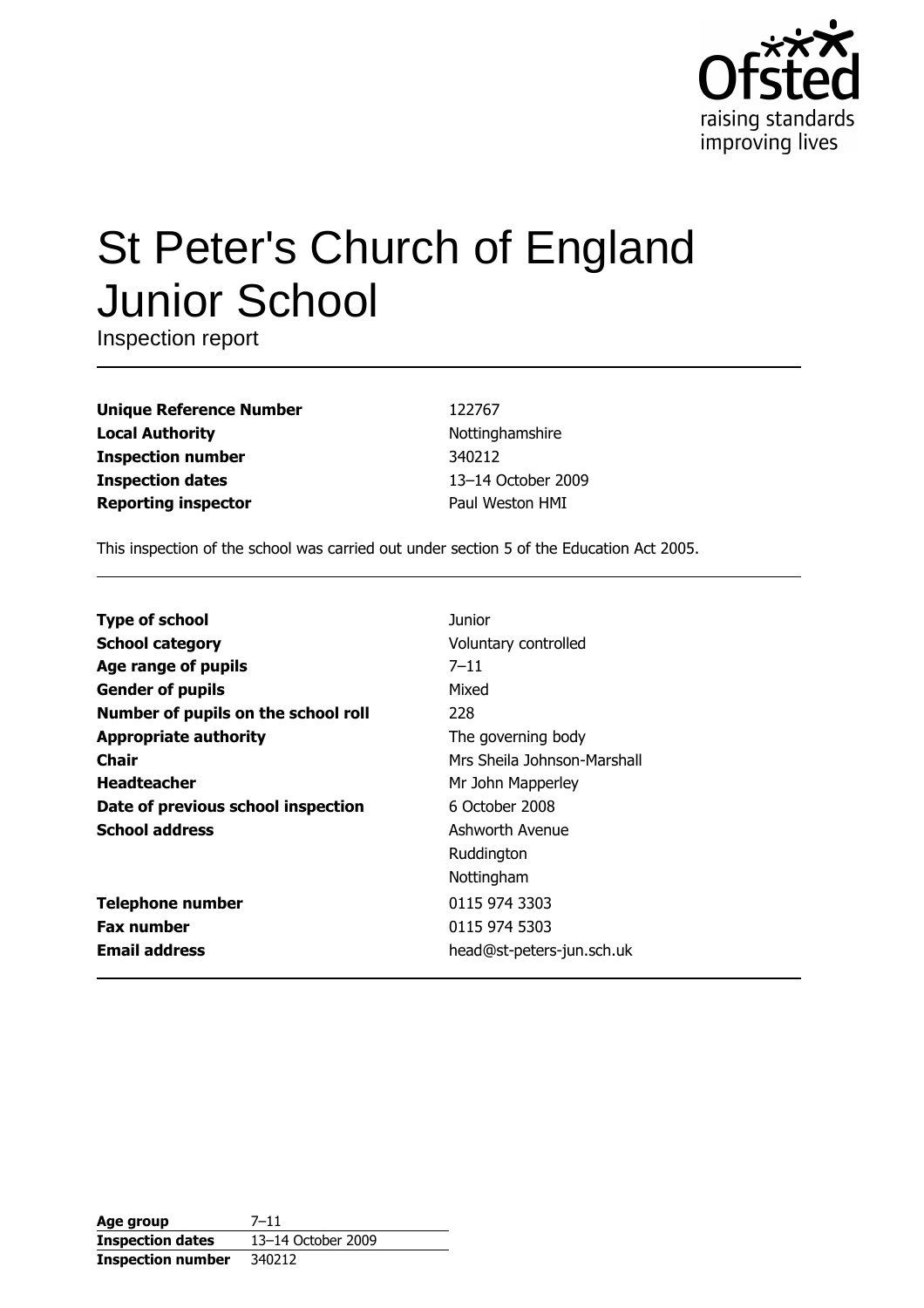

# St Peter's Church of England **Junior School**

Inspection report

| <b>Unique Reference Number</b> |
|--------------------------------|
| <b>Local Authority</b>         |
| <b>Inspection number</b>       |
| <b>Inspection dates</b>        |
| <b>Reporting inspector</b>     |

122767 Nottinghamshire 340212 13-14 October 2009 Paul Weston HMI

This inspection of the school was carried out under section 5 of the Education Act 2005.

| <b>Type of school</b>               | Junior                      |
|-------------------------------------|-----------------------------|
| <b>School category</b>              | Voluntary controlled        |
| Age range of pupils                 | $7 - 11$                    |
| <b>Gender of pupils</b>             | Mixed                       |
| Number of pupils on the school roll | 228                         |
| <b>Appropriate authority</b>        | The governing body          |
| Chair                               | Mrs Sheila Johnson-Marshall |
| <b>Headteacher</b>                  | Mr John Mapperley           |
| Date of previous school inspection  | 6 October 2008              |
| <b>School address</b>               | Ashworth Avenue             |
|                                     | Ruddington                  |
|                                     | Nottingham                  |
| <b>Telephone number</b>             | 0115 974 3303               |
| <b>Fax number</b>                   | 0115 974 5303               |
| <b>Email address</b>                | head@st-peters-jun.sch.uk   |

| Age group                | $7 - 11$           |
|--------------------------|--------------------|
| <b>Inspection dates</b>  | 13-14 October 2009 |
| <b>Inspection number</b> | 340212             |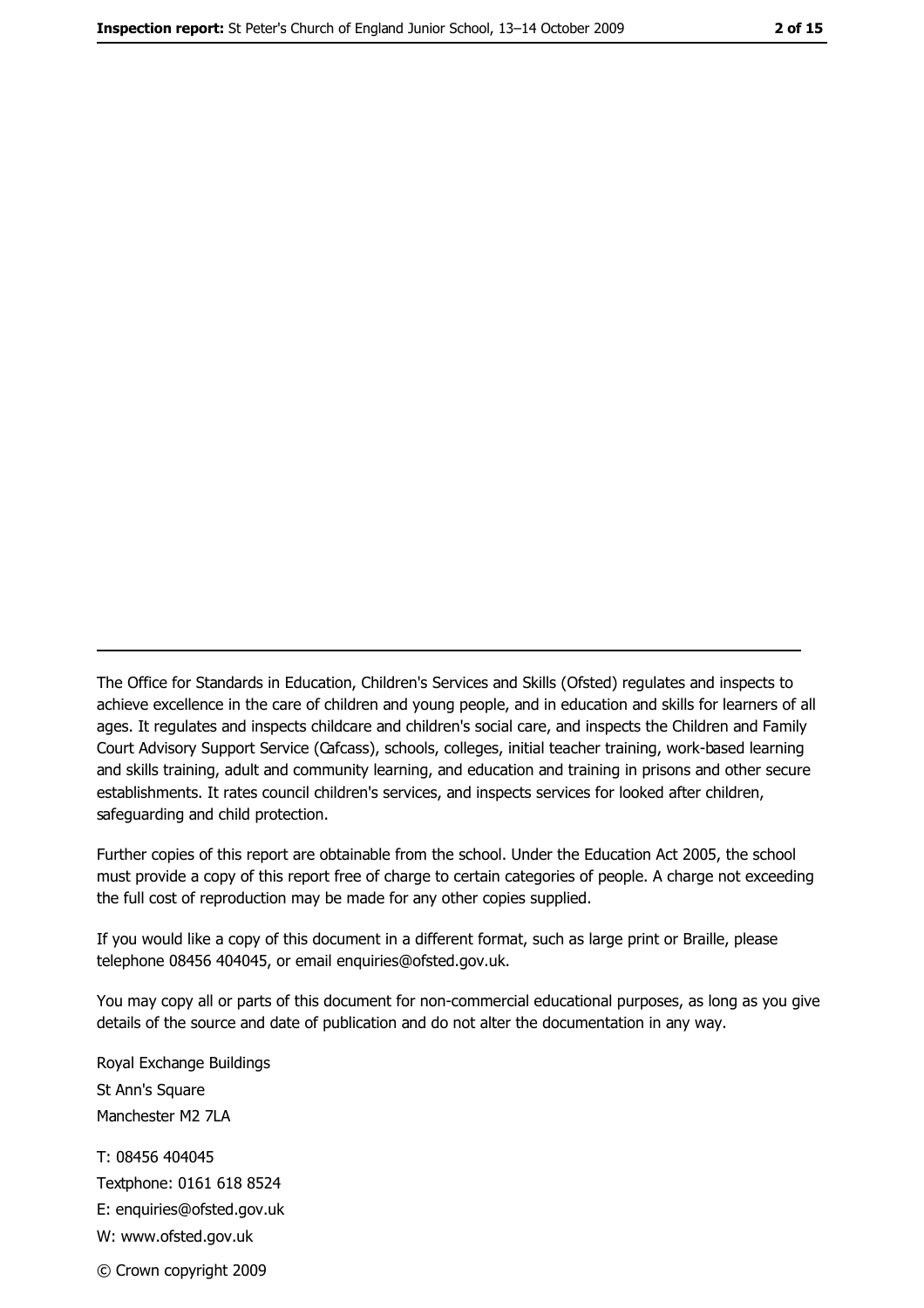The Office for Standards in Education, Children's Services and Skills (Ofsted) regulates and inspects to achieve excellence in the care of children and young people, and in education and skills for learners of all ages. It regulates and inspects childcare and children's social care, and inspects the Children and Family Court Advisory Support Service (Cafcass), schools, colleges, initial teacher training, work-based learning and skills training, adult and community learning, and education and training in prisons and other secure establishments. It rates council children's services, and inspects services for looked after children, safequarding and child protection.

Further copies of this report are obtainable from the school. Under the Education Act 2005, the school must provide a copy of this report free of charge to certain categories of people. A charge not exceeding the full cost of reproduction may be made for any other copies supplied.

If you would like a copy of this document in a different format, such as large print or Braille, please telephone 08456 404045, or email enquiries@ofsted.gov.uk.

You may copy all or parts of this document for non-commercial educational purposes, as long as you give details of the source and date of publication and do not alter the documentation in any way.

Royal Exchange Buildings St Ann's Square Manchester M2 7LA T: 08456 404045 Textphone: 0161 618 8524 E: enquiries@ofsted.gov.uk W: www.ofsted.gov.uk

© Crown copyright 2009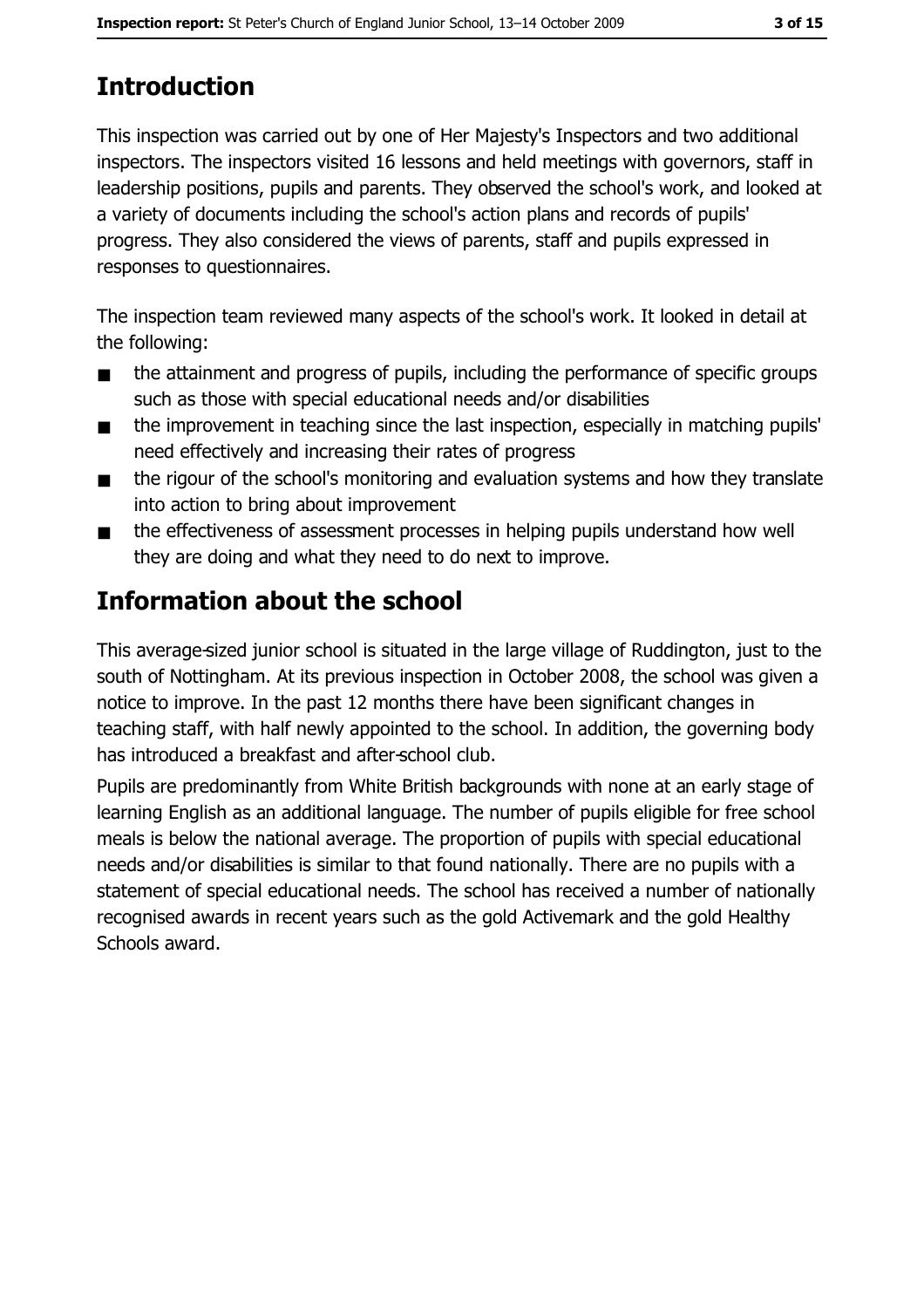# **Introduction**

This inspection was carried out by one of Her Majesty's Inspectors and two additional inspectors. The inspectors visited 16 lessons and held meetings with governors, staff in leadership positions, pupils and parents. They observed the school's work, and looked at a variety of documents including the school's action plans and records of pupils' progress. They also considered the views of parents, staff and pupils expressed in responses to questionnaires.

The inspection team reviewed many aspects of the school's work. It looked in detail at the following:

- the attainment and progress of pupils, including the performance of specific groups  $\blacksquare$ such as those with special educational needs and/or disabilities
- the improvement in teaching since the last inspection, especially in matching pupils'  $\blacksquare$ need effectively and increasing their rates of progress
- the rigour of the school's monitoring and evaluation systems and how they translate  $\blacksquare$ into action to bring about improvement
- the effectiveness of assessment processes in helping pupils understand how well  $\blacksquare$ they are doing and what they need to do next to improve.

# Information about the school

This average-sized junior school is situated in the large village of Ruddington, just to the south of Nottingham. At its previous inspection in October 2008, the school was given a notice to improve. In the past 12 months there have been significant changes in teaching staff, with half newly appointed to the school. In addition, the governing body has introduced a breakfast and after-school club.

Pupils are predominantly from White British backgrounds with none at an early stage of learning English as an additional language. The number of pupils eligible for free school meals is below the national average. The proportion of pupils with special educational needs and/or disabilities is similar to that found nationally. There are no pupils with a statement of special educational needs. The school has received a number of nationally recognised awards in recent years such as the gold Activemark and the gold Healthy Schools award.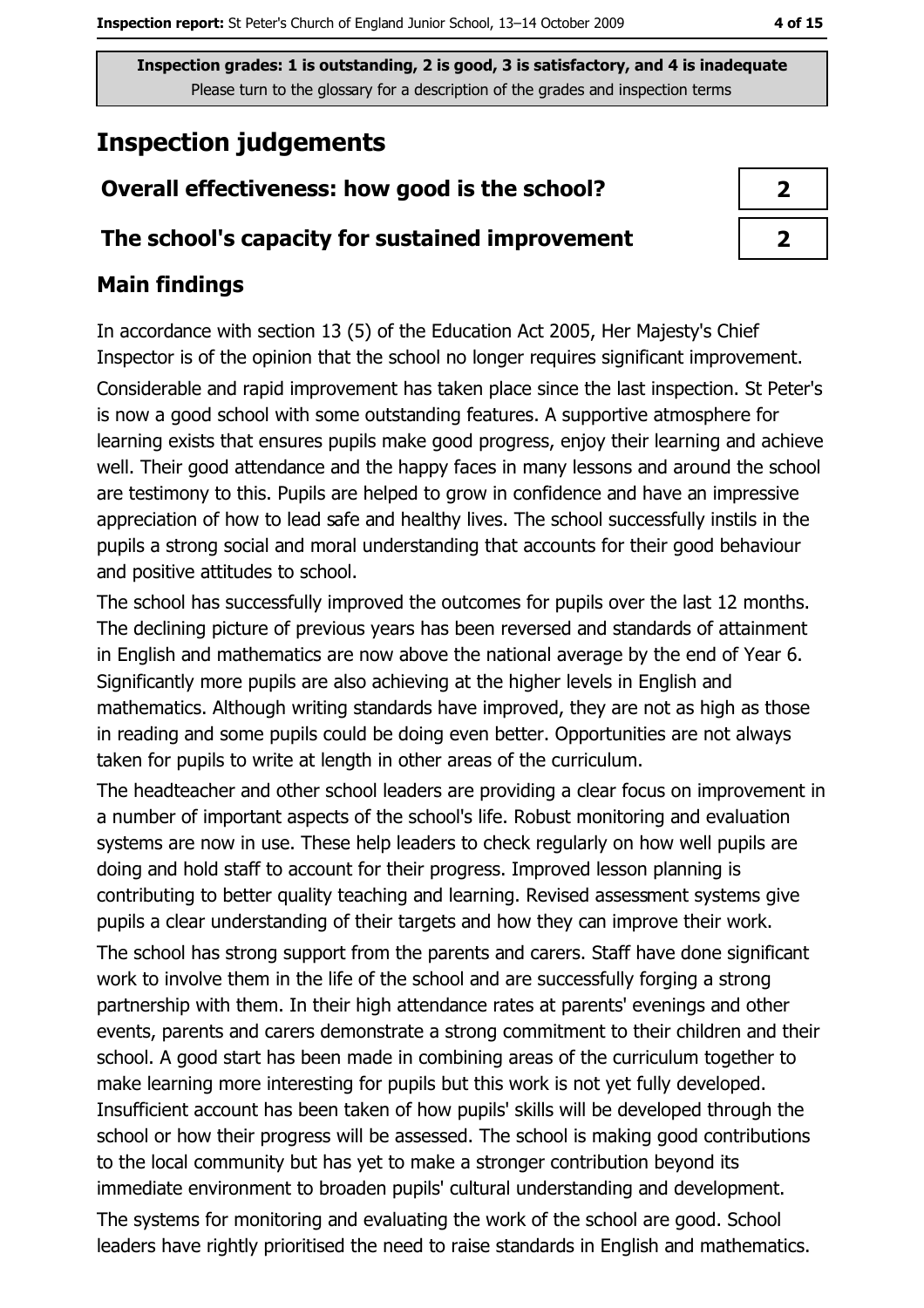## **Inspection judgements**

#### Overall effectiveness: how good is the school?

#### The school's capacity for sustained improvement

## **Main findings**

In accordance with section 13 (5) of the Education Act 2005, Her Majesty's Chief Inspector is of the opinion that the school no longer requires significant improvement. Considerable and rapid improvement has taken place since the last inspection. St Peter's is now a good school with some outstanding features. A supportive atmosphere for learning exists that ensures pupils make good progress, enjoy their learning and achieve well. Their good attendance and the happy faces in many lessons and around the school are testimony to this. Pupils are helped to grow in confidence and have an impressive appreciation of how to lead safe and healthy lives. The school successfully instils in the pupils a strong social and moral understanding that accounts for their good behaviour and positive attitudes to school.

The school has successfully improved the outcomes for pupils over the last 12 months. The declining picture of previous years has been reversed and standards of attainment in English and mathematics are now above the national average by the end of Year 6. Significantly more pupils are also achieving at the higher levels in English and mathematics. Although writing standards have improved, they are not as high as those in reading and some pupils could be doing even better. Opportunities are not always taken for pupils to write at length in other areas of the curriculum.

The headteacher and other school leaders are providing a clear focus on improvement in a number of important aspects of the school's life. Robust monitoring and evaluation systems are now in use. These help leaders to check regularly on how well pupils are doing and hold staff to account for their progress. Improved lesson planning is contributing to better quality teaching and learning. Revised assessment systems give pupils a clear understanding of their targets and how they can improve their work.

The school has strong support from the parents and carers. Staff have done significant work to involve them in the life of the school and are successfully forging a strong partnership with them. In their high attendance rates at parents' evenings and other events, parents and carers demonstrate a strong commitment to their children and their school. A good start has been made in combining areas of the curriculum together to make learning more interesting for pupils but this work is not yet fully developed. Insufficient account has been taken of how pupils' skills will be developed through the school or how their progress will be assessed. The school is making good contributions to the local community but has yet to make a stronger contribution beyond its immediate environment to broaden pupils' cultural understanding and development.

The systems for monitoring and evaluating the work of the school are good. School leaders have rightly prioritised the need to raise standards in English and mathematics.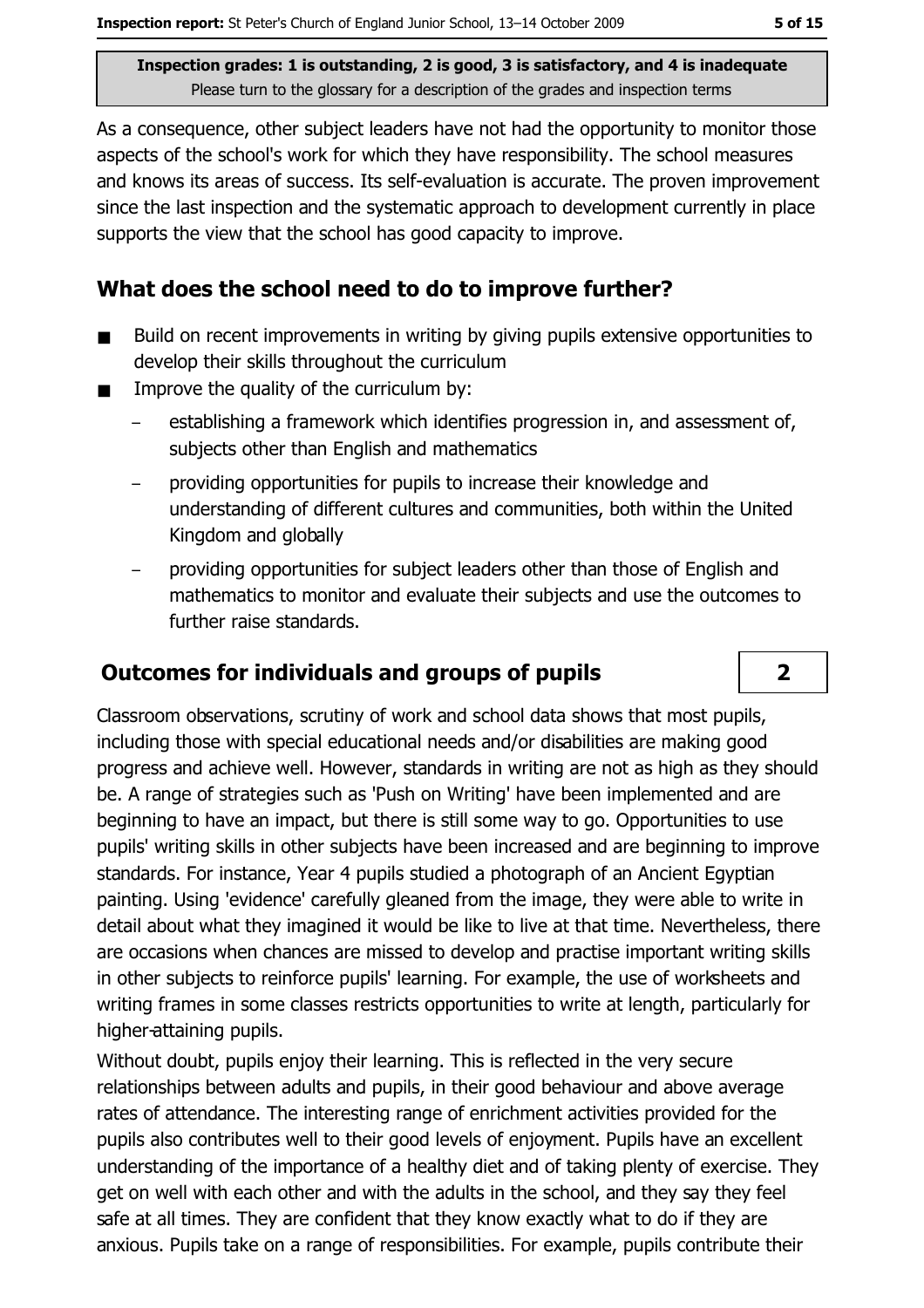As a consequence, other subject leaders have not had the opportunity to monitor those aspects of the school's work for which they have responsibility. The school measures and knows its areas of success. Its self-evaluation is accurate. The proven improvement since the last inspection and the systematic approach to development currently in place supports the view that the school has good capacity to improve.

## What does the school need to do to improve further?

- Build on recent improvements in writing by giving pupils extensive opportunities to  $\blacksquare$ develop their skills throughout the curriculum
- Improve the quality of the curriculum by:  $\blacksquare$ 
	- establishing a framework which identifies progression in, and assessment of, subjects other than English and mathematics
	- providing opportunities for pupils to increase their knowledge and understanding of different cultures and communities, both within the United Kingdom and globally
	- providing opportunities for subject leaders other than those of English and mathematics to monitor and evaluate their subjects and use the outcomes to further raise standards.

## **Outcomes for individuals and groups of pupils**

Classroom observations, scrutiny of work and school data shows that most pupils, including those with special educational needs and/or disabilities are making good progress and achieve well. However, standards in writing are not as high as they should be. A range of strategies such as 'Push on Writing' have been implemented and are beginning to have an impact, but there is still some way to go. Opportunities to use pupils' writing skills in other subjects have been increased and are beginning to improve standards. For instance, Year 4 pupils studied a photograph of an Ancient Egyptian painting. Using 'evidence' carefully gleaned from the image, they were able to write in detail about what they imagined it would be like to live at that time. Nevertheless, there are occasions when chances are missed to develop and practise important writing skills in other subjects to reinforce pupils' learning. For example, the use of worksheets and writing frames in some classes restricts opportunities to write at length, particularly for higher-attaining pupils.

Without doubt, pupils enjoy their learning. This is reflected in the very secure relationships between adults and pupils, in their good behaviour and above average rates of attendance. The interesting range of enrichment activities provided for the pupils also contributes well to their good levels of enjoyment. Pupils have an excellent understanding of the importance of a healthy diet and of taking plenty of exercise. They get on well with each other and with the adults in the school, and they say they feel safe at all times. They are confident that they know exactly what to do if they are anxious. Pupils take on a range of responsibilities. For example, pupils contribute their

 $\overline{2}$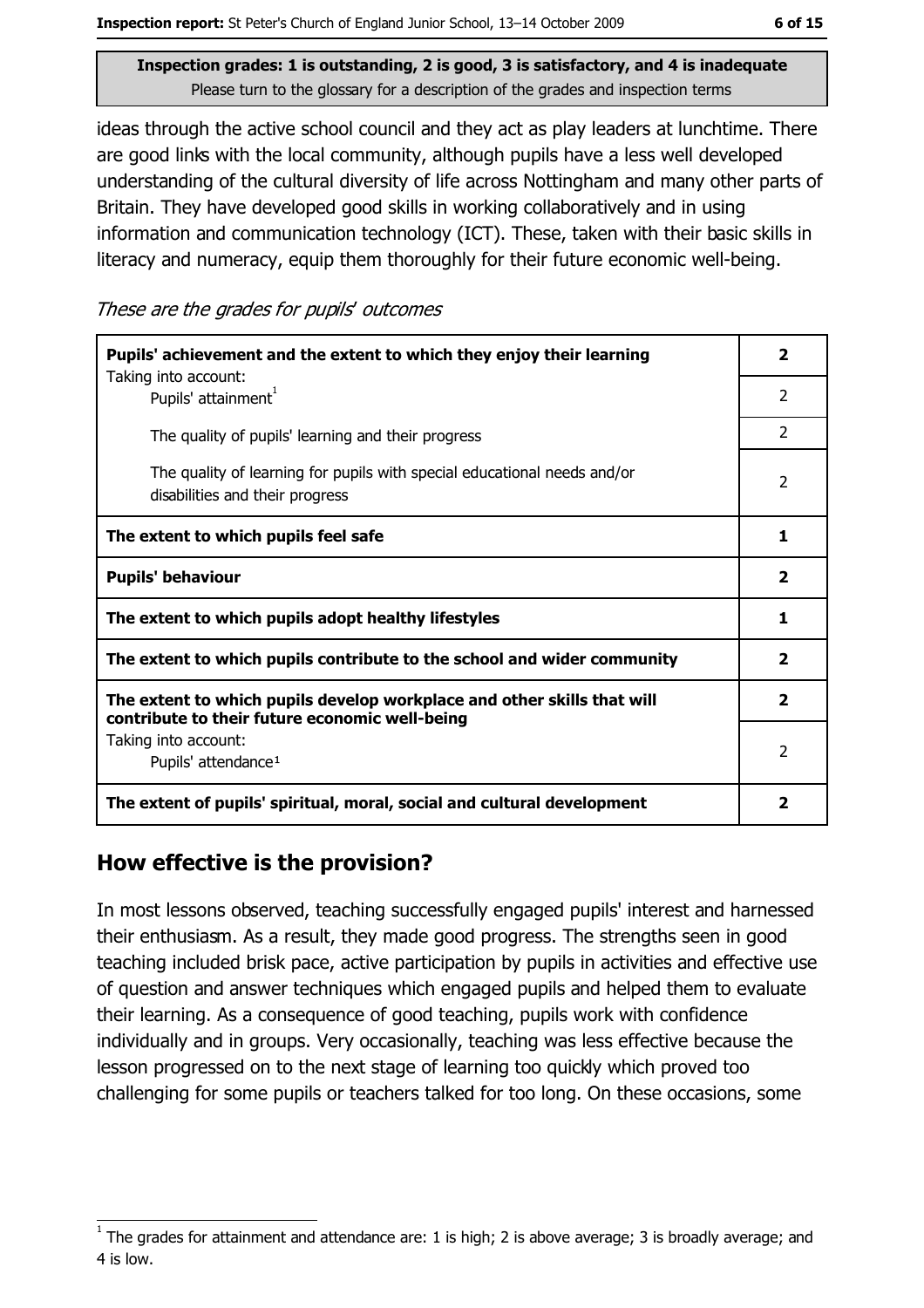ideas through the active school council and they act as play leaders at lunchtime. There are good links with the local community, although pupils have a less well developed understanding of the cultural diversity of life across Nottingham and many other parts of Britain. They have developed good skills in working collaboratively and in using information and communication technology (ICT). These, taken with their basic skills in literacy and numeracy, equip them thoroughly for their future economic well-being.

These are the grades for pupils' outcomes

| Pupils' achievement and the extent to which they enjoy their learning                                                     |                          |  |
|---------------------------------------------------------------------------------------------------------------------------|--------------------------|--|
| Taking into account:<br>Pupils' attainment <sup>1</sup>                                                                   | $\mathcal{P}$            |  |
| The quality of pupils' learning and their progress                                                                        | $\mathcal{P}$            |  |
| The quality of learning for pupils with special educational needs and/or<br>disabilities and their progress               | $\overline{\phantom{a}}$ |  |
| The extent to which pupils feel safe                                                                                      | 1                        |  |
| <b>Pupils' behaviour</b>                                                                                                  | $\overline{\mathbf{2}}$  |  |
| The extent to which pupils adopt healthy lifestyles                                                                       | 1                        |  |
| The extent to which pupils contribute to the school and wider community                                                   |                          |  |
| The extent to which pupils develop workplace and other skills that will<br>contribute to their future economic well-being | $\overline{\mathbf{2}}$  |  |
| Taking into account:<br>Pupils' attendance <sup>1</sup>                                                                   | $\overline{2}$           |  |
| The extent of pupils' spiritual, moral, social and cultural development                                                   | 2                        |  |

#### How effective is the provision?

In most lessons observed, teaching successfully engaged pupils' interest and harnessed their enthusiasm. As a result, they made good progress. The strengths seen in good teaching included brisk pace, active participation by pupils in activities and effective use of question and answer techniques which engaged pupils and helped them to evaluate their learning. As a consequence of good teaching, pupils work with confidence individually and in groups. Very occasionally, teaching was less effective because the lesson progressed on to the next stage of learning too quickly which proved too challenging for some pupils or teachers talked for too long. On these occasions, some

The grades for attainment and attendance are: 1 is high; 2 is above average; 3 is broadly average; and 4 is low.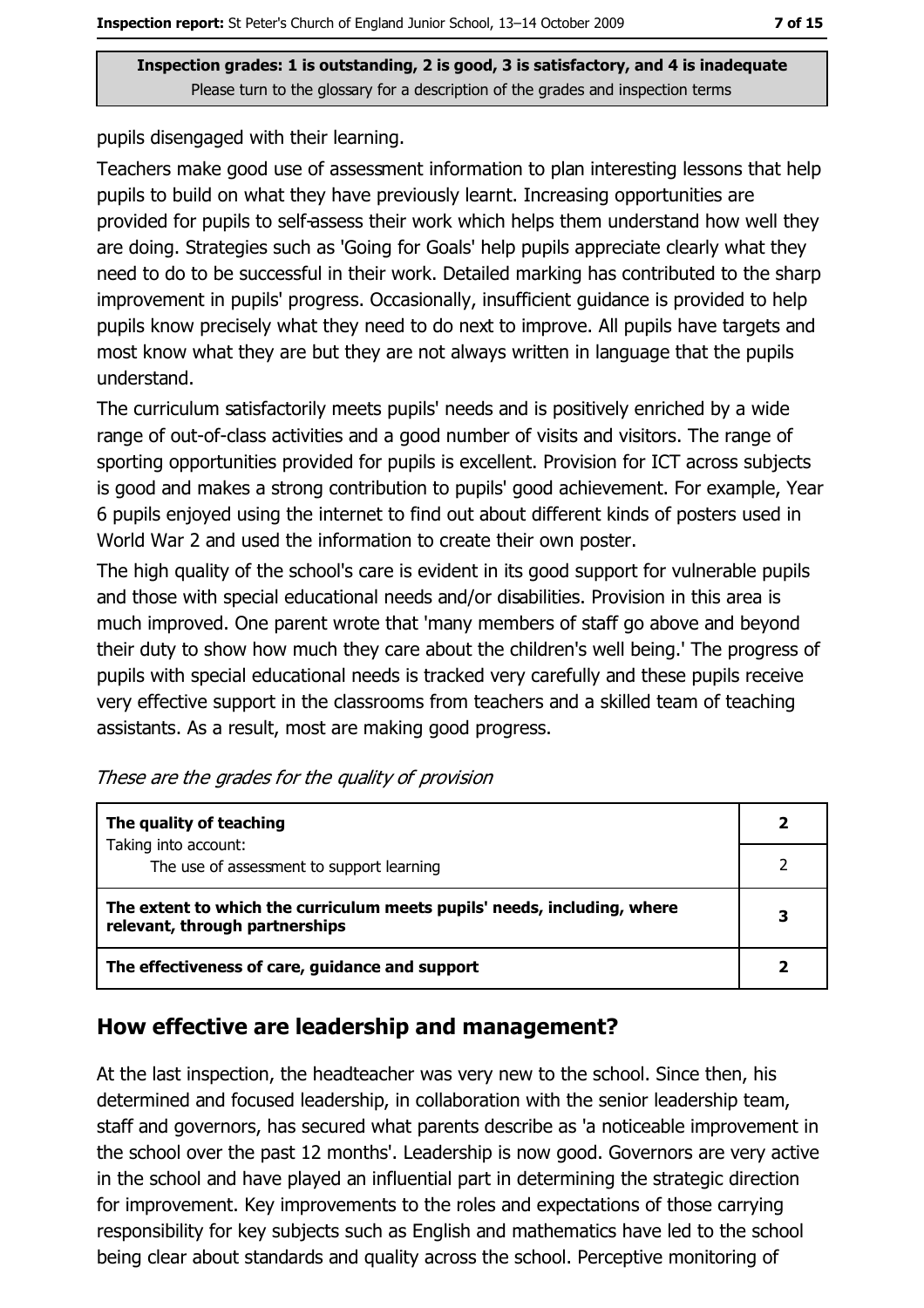pupils disengaged with their learning.

Teachers make good use of assessment information to plan interesting lessons that help pupils to build on what they have previously learnt. Increasing opportunities are provided for pupils to self-assess their work which helps them understand how well they are doing. Strategies such as 'Going for Goals' help pupils appreciate clearly what they need to do to be successful in their work. Detailed marking has contributed to the sharp improvement in pupils' progress. Occasionally, insufficient guidance is provided to help pupils know precisely what they need to do next to improve. All pupils have targets and most know what they are but they are not always written in language that the pupils understand.

The curriculum satisfactorily meets pupils' needs and is positively enriched by a wide range of out-of-class activities and a good number of visits and visitors. The range of sporting opportunities provided for pupils is excellent. Provision for ICT across subjects is good and makes a strong contribution to pupils' good achievement. For example, Year 6 pupils enjoyed using the internet to find out about different kinds of posters used in World War 2 and used the information to create their own poster.

The high quality of the school's care is evident in its good support for vulnerable pupils and those with special educational needs and/or disabilities. Provision in this area is much improved. One parent wrote that 'many members of staff go above and beyond their duty to show how much they care about the children's well being.' The progress of pupils with special educational needs is tracked very carefully and these pupils receive very effective support in the classrooms from teachers and a skilled team of teaching assistants. As a result, most are making good progress.

| The quality of teaching                                                                                    |   |
|------------------------------------------------------------------------------------------------------------|---|
| Taking into account:<br>The use of assessment to support learning                                          |   |
| The extent to which the curriculum meets pupils' needs, including, where<br>relevant, through partnerships | 3 |
| The effectiveness of care, guidance and support                                                            |   |

| These are the grades for the quality of provision |  |  |  |  |  |  |  |
|---------------------------------------------------|--|--|--|--|--|--|--|
|---------------------------------------------------|--|--|--|--|--|--|--|

## How effective are leadership and management?

At the last inspection, the headteacher was very new to the school. Since then, his determined and focused leadership, in collaboration with the senior leadership team, staff and governors, has secured what parents describe as 'a noticeable improvement in the school over the past 12 months'. Leadership is now good. Governors are very active in the school and have played an influential part in determining the strategic direction for improvement. Key improvements to the roles and expectations of those carrying responsibility for key subjects such as English and mathematics have led to the school being clear about standards and quality across the school. Perceptive monitoring of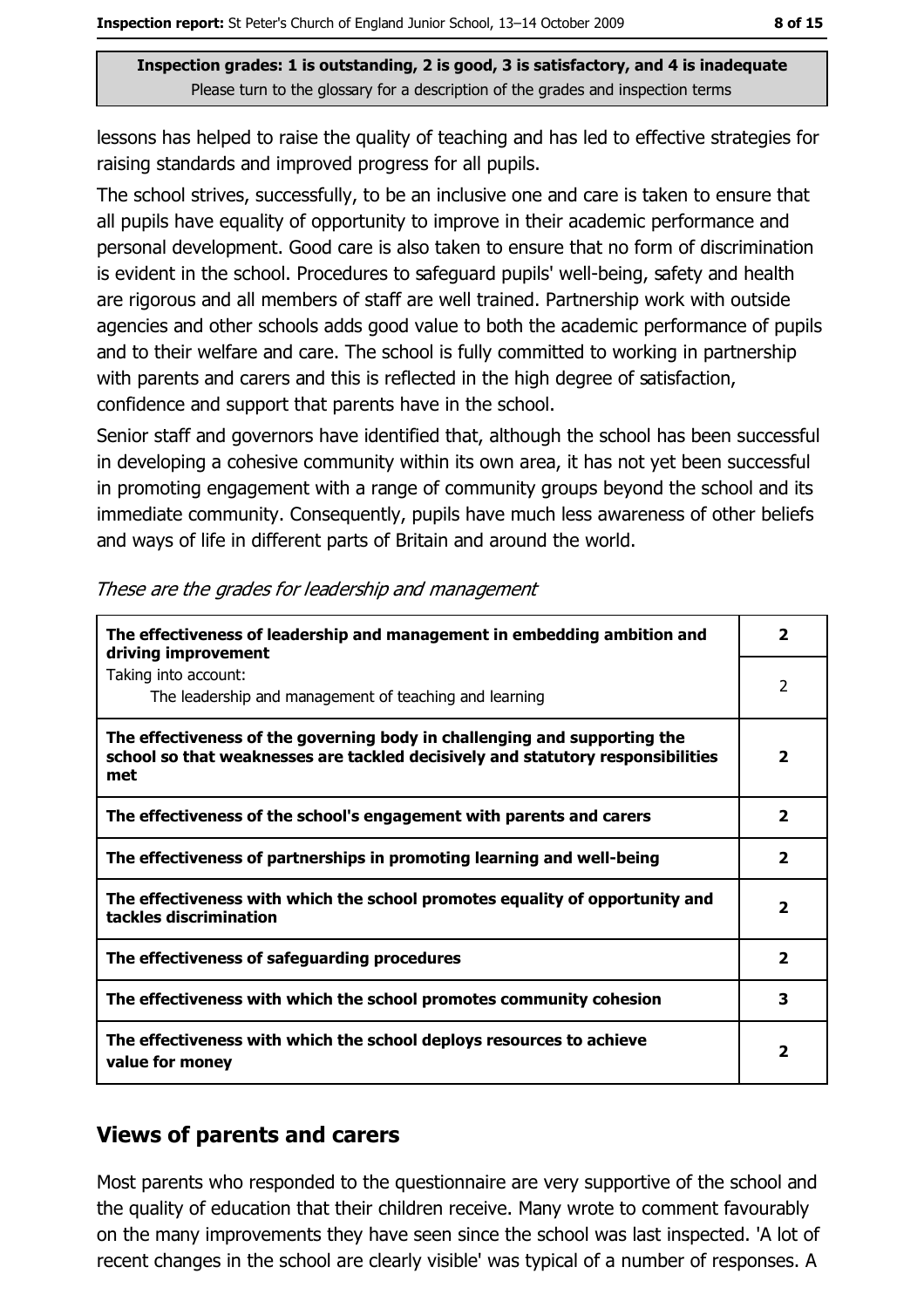lessons has helped to raise the quality of teaching and has led to effective strategies for raising standards and improved progress for all pupils.

The school strives, successfully, to be an inclusive one and care is taken to ensure that all pupils have equality of opportunity to improve in their academic performance and personal development. Good care is also taken to ensure that no form of discrimination is evident in the school. Procedures to safeguard pupils' well-being, safety and health are rigorous and all members of staff are well trained. Partnership work with outside agencies and other schools adds good value to both the academic performance of pupils and to their welfare and care. The school is fully committed to working in partnership with parents and carers and this is reflected in the high degree of satisfaction, confidence and support that parents have in the school.

Senior staff and governors have identified that, although the school has been successful in developing a cohesive community within its own area, it has not yet been successful in promoting engagement with a range of community groups beyond the school and its immediate community. Consequently, pupils have much less awareness of other beliefs and ways of life in different parts of Britain and around the world.

| The effectiveness of leadership and management in embedding ambition and<br>driving improvement                                                                     | $\overline{\mathbf{2}}$ |
|---------------------------------------------------------------------------------------------------------------------------------------------------------------------|-------------------------|
| Taking into account:<br>The leadership and management of teaching and learning                                                                                      | 2                       |
| The effectiveness of the governing body in challenging and supporting the<br>school so that weaknesses are tackled decisively and statutory responsibilities<br>met | $\overline{\mathbf{2}}$ |
| The effectiveness of the school's engagement with parents and carers                                                                                                | $\mathbf{2}$            |
| The effectiveness of partnerships in promoting learning and well-being                                                                                              | $\overline{\mathbf{2}}$ |
| The effectiveness with which the school promotes equality of opportunity and<br>tackles discrimination                                                              | $\overline{\mathbf{2}}$ |
| The effectiveness of safeguarding procedures                                                                                                                        | $\overline{\mathbf{2}}$ |
| The effectiveness with which the school promotes community cohesion                                                                                                 | 3                       |
| The effectiveness with which the school deploys resources to achieve<br>value for money                                                                             | 2                       |

#### These are the grades for leadership and management

#### **Views of parents and carers**

Most parents who responded to the questionnaire are very supportive of the school and the quality of education that their children receive. Many wrote to comment favourably on the many improvements they have seen since the school was last inspected. 'A lot of recent changes in the school are clearly visible' was typical of a number of responses. A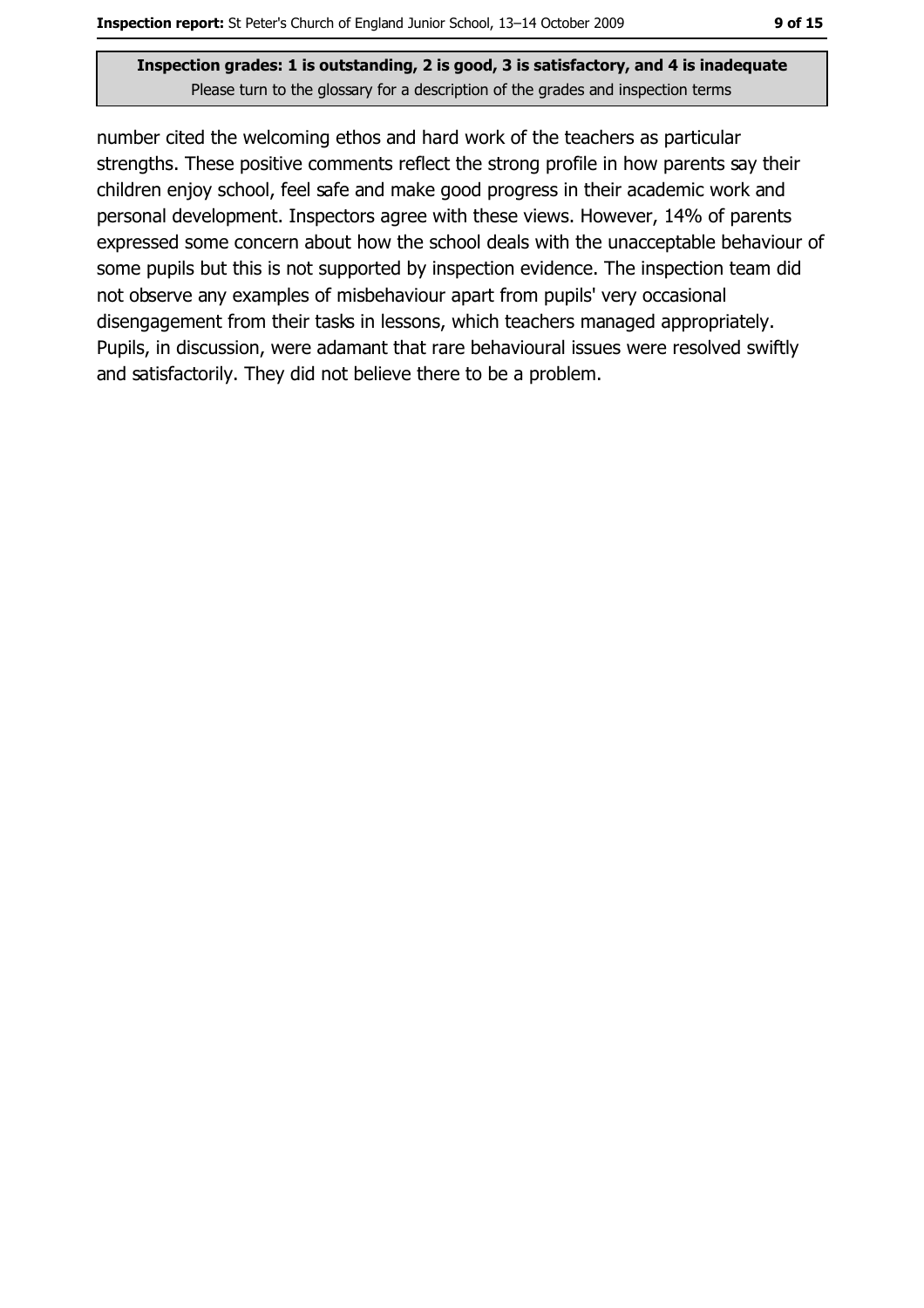number cited the welcoming ethos and hard work of the teachers as particular strengths. These positive comments reflect the strong profile in how parents say their children enjoy school, feel safe and make good progress in their academic work and personal development. Inspectors agree with these views. However, 14% of parents expressed some concern about how the school deals with the unacceptable behaviour of some pupils but this is not supported by inspection evidence. The inspection team did not observe any examples of misbehaviour apart from pupils' very occasional disengagement from their tasks in lessons, which teachers managed appropriately. Pupils, in discussion, were adamant that rare behavioural issues were resolved swiftly and satisfactorily. They did not believe there to be a problem.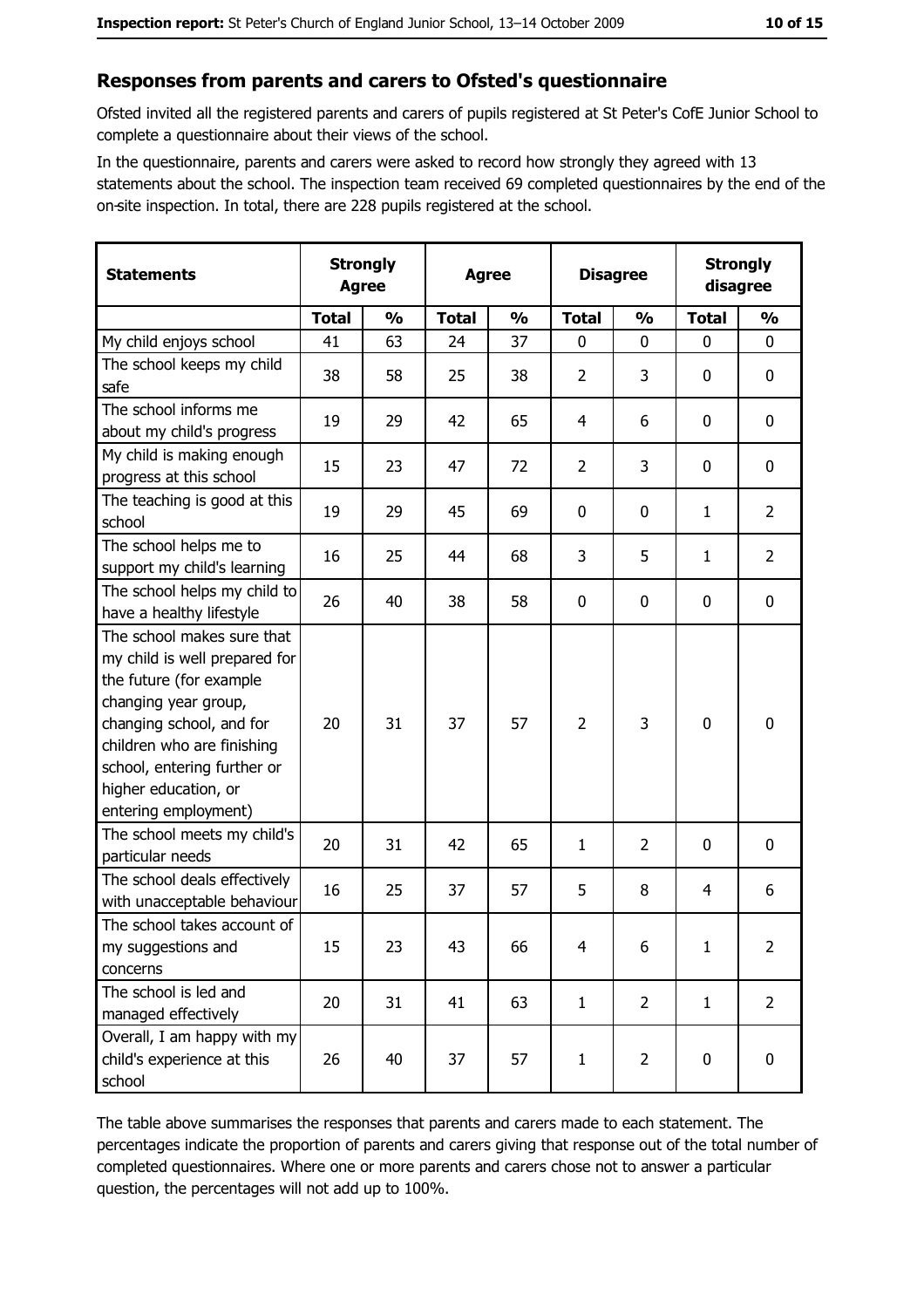#### Responses from parents and carers to Ofsted's questionnaire

Ofsted invited all the registered parents and carers of pupils registered at St Peter's CofE Junior School to complete a questionnaire about their views of the school.

In the questionnaire, parents and carers were asked to record how strongly they agreed with 13 statements about the school. The inspection team received 69 completed questionnaires by the end of the on-site inspection. In total, there are 228 pupils registered at the school.

| <b>Statements</b>                                                                                                                                                                                                                                       | <b>Strongly</b><br><b>Agree</b> |               | <b>Agree</b> |               | <b>Disagree</b> |                | <b>Strongly</b><br>disagree |                |
|---------------------------------------------------------------------------------------------------------------------------------------------------------------------------------------------------------------------------------------------------------|---------------------------------|---------------|--------------|---------------|-----------------|----------------|-----------------------------|----------------|
|                                                                                                                                                                                                                                                         | <b>Total</b>                    | $\frac{1}{2}$ | <b>Total</b> | $\frac{0}{0}$ | <b>Total</b>    | $\frac{0}{0}$  | <b>Total</b>                | $\frac{1}{2}$  |
| My child enjoys school                                                                                                                                                                                                                                  | 41                              | 63            | 24           | 37            | $\mathbf 0$     | 0              | $\mathbf 0$                 | 0              |
| The school keeps my child<br>safe                                                                                                                                                                                                                       | 38                              | 58            | 25           | 38            | $\overline{2}$  | 3              | 0                           | 0              |
| The school informs me<br>about my child's progress                                                                                                                                                                                                      | 19                              | 29            | 42           | 65            | 4               | 6              | 0                           | 0              |
| My child is making enough<br>progress at this school                                                                                                                                                                                                    | 15                              | 23            | 47           | 72            | $\overline{2}$  | 3              | 0                           | $\mathbf 0$    |
| The teaching is good at this<br>school                                                                                                                                                                                                                  | 19                              | 29            | 45           | 69            | $\mathbf 0$     | 0              | 1                           | $\overline{2}$ |
| The school helps me to<br>support my child's learning                                                                                                                                                                                                   | 16                              | 25            | 44           | 68            | 3               | 5              | $\mathbf{1}$                | $\overline{2}$ |
| The school helps my child to<br>have a healthy lifestyle                                                                                                                                                                                                | 26                              | 40            | 38           | 58            | $\bf{0}$        | 0              | 0                           | 0              |
| The school makes sure that<br>my child is well prepared for<br>the future (for example<br>changing year group,<br>changing school, and for<br>children who are finishing<br>school, entering further or<br>higher education, or<br>entering employment) | 20                              | 31            | 37           | 57            | $\overline{2}$  | 3              | 0                           | $\mathbf 0$    |
| The school meets my child's<br>particular needs                                                                                                                                                                                                         | 20                              | 31            | 42           | 65            | 1               | 2              | 0                           | 0              |
| The school deals effectively<br>with unacceptable behaviour                                                                                                                                                                                             | 16                              | 25            | 37           | 57            | 5               | 8              | 4                           | 6              |
| The school takes account of<br>my suggestions and<br>concerns                                                                                                                                                                                           | 15                              | 23            | 43           | 66            | $\overline{4}$  | 6              | $\mathbf{1}$                | $\overline{2}$ |
| The school is led and<br>managed effectively                                                                                                                                                                                                            | 20                              | 31            | 41           | 63            | $\mathbf{1}$    | $\overline{2}$ | $\mathbf{1}$                | $\overline{2}$ |
| Overall, I am happy with my<br>child's experience at this<br>school                                                                                                                                                                                     | 26                              | 40            | 37           | 57            | $\mathbf{1}$    | $\overline{2}$ | 0                           | $\pmb{0}$      |

The table above summarises the responses that parents and carers made to each statement. The percentages indicate the proportion of parents and carers giving that response out of the total number of completed questionnaires. Where one or more parents and carers chose not to answer a particular question, the percentages will not add up to 100%.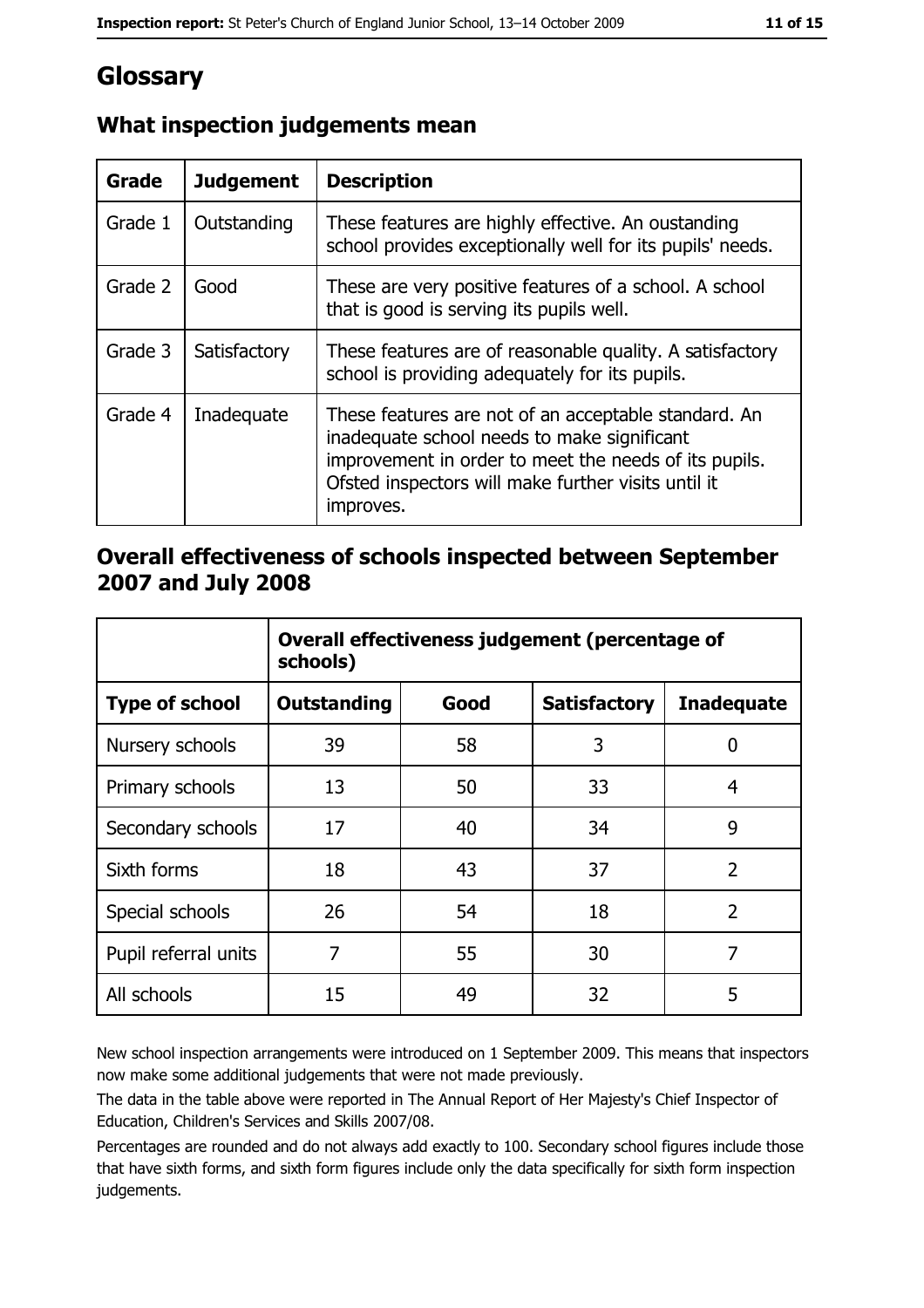# Glossary

| <b>Grade</b> | <b>Judgement</b> | <b>Description</b>                                                                                                                                                                                                               |
|--------------|------------------|----------------------------------------------------------------------------------------------------------------------------------------------------------------------------------------------------------------------------------|
| Grade 1      | Outstanding      | These features are highly effective. An oustanding<br>school provides exceptionally well for its pupils' needs.                                                                                                                  |
| Grade 2      | Good             | These are very positive features of a school. A school<br>that is good is serving its pupils well.                                                                                                                               |
| Grade 3      | Satisfactory     | These features are of reasonable quality. A satisfactory<br>school is providing adequately for its pupils.                                                                                                                       |
| Grade 4      | Inadequate       | These features are not of an acceptable standard. An<br>inadequate school needs to make significant<br>improvement in order to meet the needs of its pupils.<br>Ofsted inspectors will make further visits until it<br>improves. |

## What inspection judgements mean

#### Overall effectiveness of schools inspected between September 2007 and July 2008

|                       | Overall effectiveness judgement (percentage of<br>schools) |      |                     |                   |
|-----------------------|------------------------------------------------------------|------|---------------------|-------------------|
| <b>Type of school</b> | <b>Outstanding</b>                                         | Good | <b>Satisfactory</b> | <b>Inadequate</b> |
| Nursery schools       | 39                                                         | 58   | 3                   | 0                 |
| Primary schools       | 13                                                         | 50   | 33                  | 4                 |
| Secondary schools     | 17                                                         | 40   | 34                  | 9                 |
| Sixth forms           | 18                                                         | 43   | 37                  | $\overline{2}$    |
| Special schools       | 26                                                         | 54   | 18                  | $\overline{2}$    |
| Pupil referral units  | 7                                                          | 55   | 30                  | 7                 |
| All schools           | 15                                                         | 49   | 32                  | 5                 |

New school inspection arrangements were introduced on 1 September 2009. This means that inspectors now make some additional judgements that were not made previously.

The data in the table above were reported in The Annual Report of Her Majesty's Chief Inspector of Education, Children's Services and Skills 2007/08.

Percentages are rounded and do not always add exactly to 100. Secondary school figures include those that have sixth forms, and sixth form figures include only the data specifically for sixth form inspection judgements.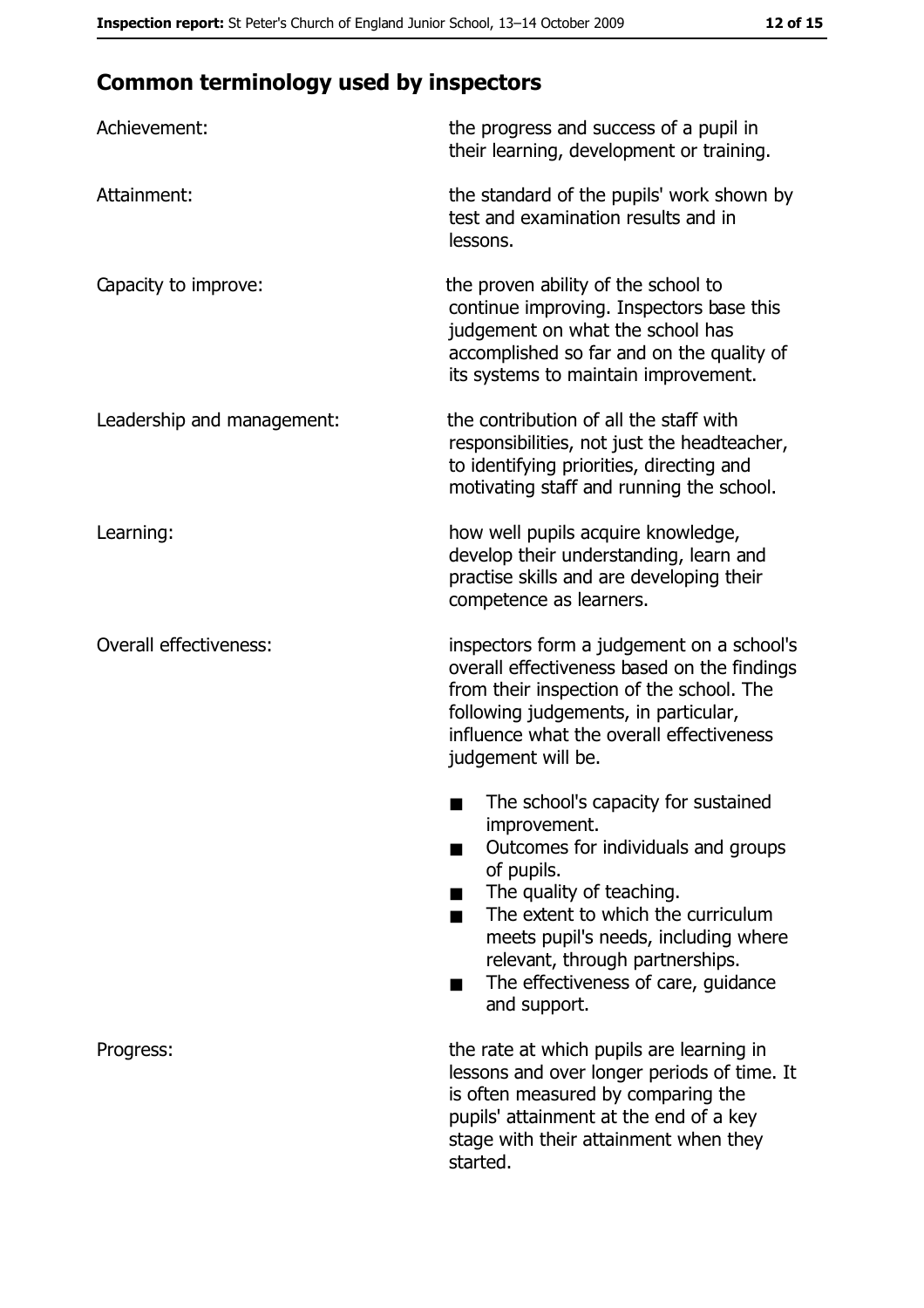## **Common terminology used by inspectors**

| Achievement:                  | the progress and success of a pupil in<br>their learning, development or training.                                                                                                                                                                                                                           |
|-------------------------------|--------------------------------------------------------------------------------------------------------------------------------------------------------------------------------------------------------------------------------------------------------------------------------------------------------------|
| Attainment:                   | the standard of the pupils' work shown by<br>test and examination results and in<br>lessons.                                                                                                                                                                                                                 |
| Capacity to improve:          | the proven ability of the school to<br>continue improving. Inspectors base this<br>judgement on what the school has<br>accomplished so far and on the quality of<br>its systems to maintain improvement.                                                                                                     |
| Leadership and management:    | the contribution of all the staff with<br>responsibilities, not just the headteacher,<br>to identifying priorities, directing and<br>motivating staff and running the school.                                                                                                                                |
| Learning:                     | how well pupils acquire knowledge,<br>develop their understanding, learn and<br>practise skills and are developing their<br>competence as learners.                                                                                                                                                          |
| <b>Overall effectiveness:</b> | inspectors form a judgement on a school's<br>overall effectiveness based on the findings<br>from their inspection of the school. The<br>following judgements, in particular,<br>influence what the overall effectiveness<br>judgement will be.                                                               |
|                               | The school's capacity for sustained<br>improvement.<br>Outcomes for individuals and groups<br>of pupils.<br>The quality of teaching.<br>The extent to which the curriculum<br>meets pupil's needs, including where<br>relevant, through partnerships.<br>The effectiveness of care, guidance<br>and support. |
| Progress:                     | the rate at which pupils are learning in<br>lessons and over longer periods of time. It<br>is often measured by comparing the<br>pupils' attainment at the end of a key<br>stage with their attainment when they<br>started.                                                                                 |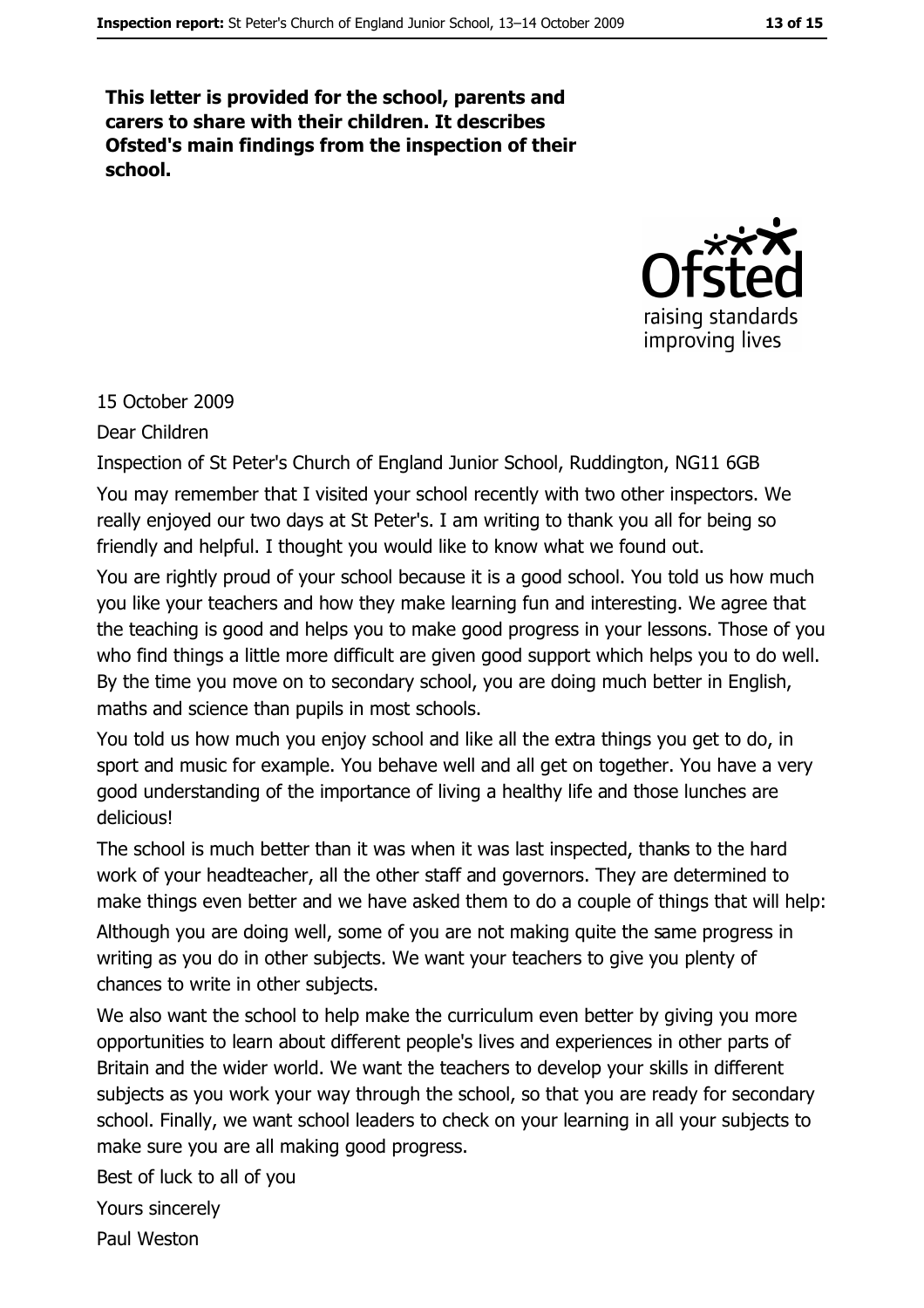This letter is provided for the school, parents and carers to share with their children. It describes Ofsted's main findings from the inspection of their school.



#### 15 October 2009

Dear Children

Inspection of St Peter's Church of England Junior School, Ruddington, NG11 6GB You may remember that I visited your school recently with two other inspectors. We really enjoyed our two days at St Peter's. I am writing to thank you all for being so friendly and helpful. I thought you would like to know what we found out.

You are rightly proud of your school because it is a good school. You told us how much you like your teachers and how they make learning fun and interesting. We agree that the teaching is good and helps you to make good progress in your lessons. Those of you who find things a little more difficult are given good support which helps you to do well. By the time you move on to secondary school, you are doing much better in English, maths and science than pupils in most schools.

You told us how much you enjoy school and like all the extra things you get to do, in sport and music for example. You behave well and all get on together. You have a very good understanding of the importance of living a healthy life and those lunches are delicious!

The school is much better than it was when it was last inspected, thanks to the hard work of your headteacher, all the other staff and governors. They are determined to make things even better and we have asked them to do a couple of things that will help:

Although you are doing well, some of you are not making quite the same progress in writing as you do in other subjects. We want your teachers to give you plenty of chances to write in other subjects.

We also want the school to help make the curriculum even better by giving you more opportunities to learn about different people's lives and experiences in other parts of Britain and the wider world. We want the teachers to develop your skills in different subjects as you work your way through the school, so that you are ready for secondary school. Finally, we want school leaders to check on your learning in all your subjects to make sure you are all making good progress.

Best of luck to all of you

Yours sincerely

Paul Weston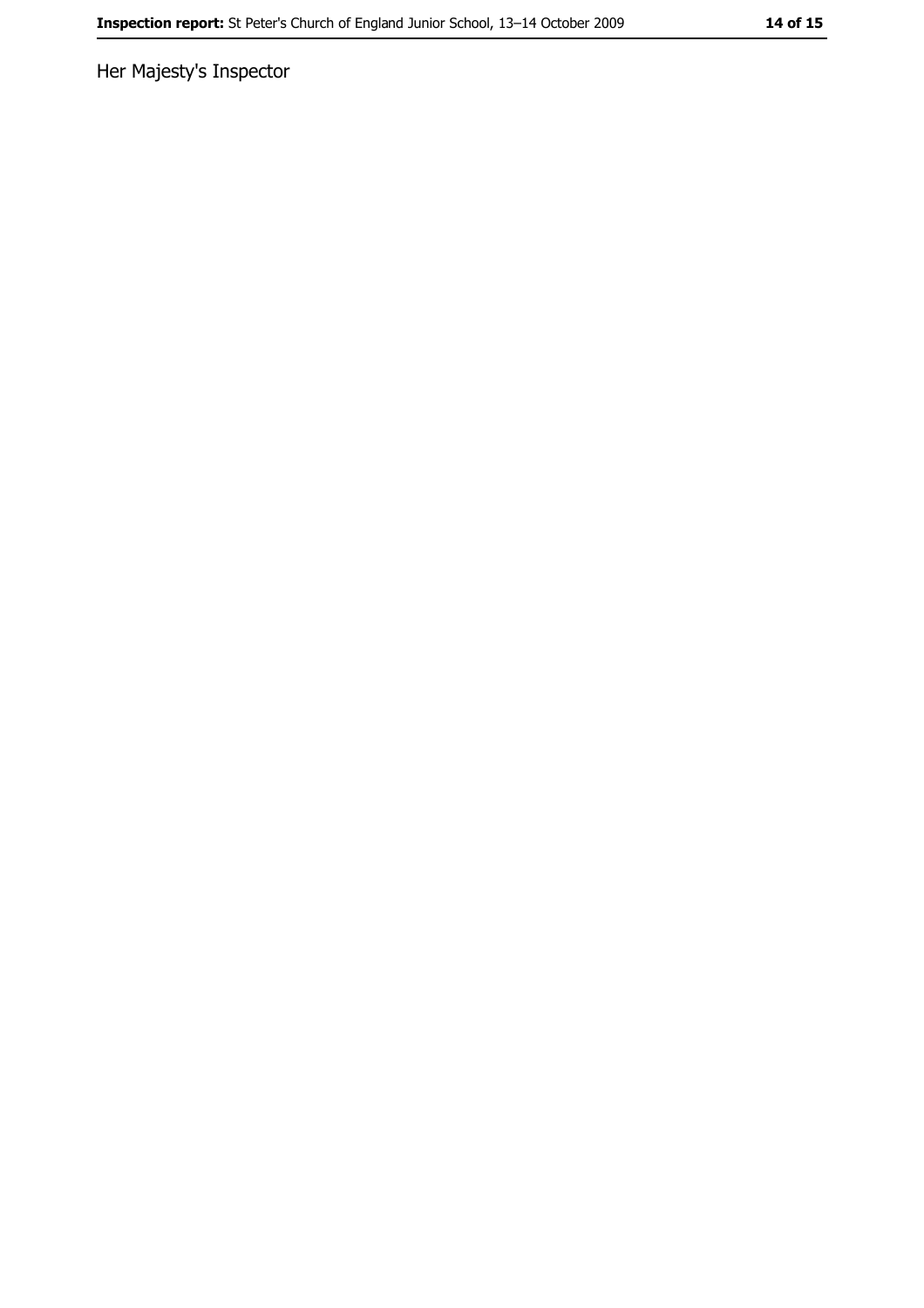Her Majesty's Inspector